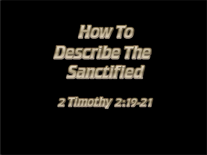

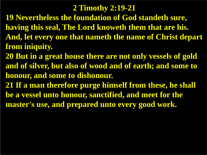### **2 Timothy 2:19-21**

- **19 Nevertheless the foundation of God standeth sure, having this seal, The Lord knoweth them that are his. And, let every one that nameth the name of Christ depart from iniquity.**
- **20 But in a great house there are not only vessels of gold and of silver, but also of wood and of earth; and some to honour, and some to dishonour.**
- **21 If a man therefore purge himself from these, he shall be a vessel unto honour, sanctified, and meet for the master's use, and prepared unto every good work.**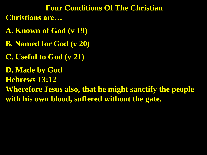#### **Four Conditions Of The Christian**

- **Christians are…**
- **A. Known of God (v 19)**
- **B. Named for God (v 20)**
- **C. Useful to God (v 21)**
- **D. Made by God**
- **Hebrews 13:12**
- **Wherefore Jesus also, that he might sanctify the people with his own blood, suffered without the gate.**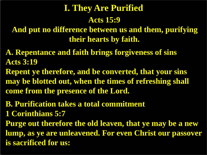# **Acts 15:9 I. They Are Purified**

**And put no difference between us and them, purifying their hearts by faith.**

- **A. Repentance and faith brings forgiveness of sins Acts 3:19**
- **Repent ye therefore, and be converted, that your sins may be blotted out, when the times of refreshing shall come from the presence of the Lord.**
- **B. Purification takes a total commitment**
- **1 Corinthians 5:7**
- **Purge out therefore the old leaven, that ye may be a new lump, as ye are unleavened. For even Christ our passover is sacrificed for us:**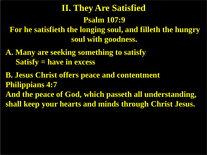# **Psalm 107:9 II. They Are Satisfied**

**For he satisfieth the longing soul, and filleth the hungry soul with goodness.**

**A. Many are seeking something to satisfy Satisfy = have in excess**

**B. Jesus Christ offers peace and contentment Philippians 4:7 And the peace of God, which passeth all understanding, shall keep your hearts and minds through Christ Jesus.**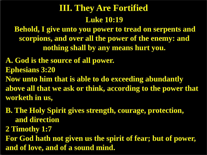### **Luke 10:19 III. They Are Fortified**

**Behold, I give unto you power to tread on serpents and scorpions, and over all the power of the enemy: and nothing shall by any means hurt you.**

**A. God is the source of all power. Ephesians 3:20 Now unto him that is able to do exceeding abundantly above all that we ask or think, according to the power that worketh in us,**

**B. The Holy Spirit gives strength, courage, protection, and direction** 

**2 Timothy 1:7**

**For God hath not given us the spirit of fear; but of power, and of love, and of a sound mind.**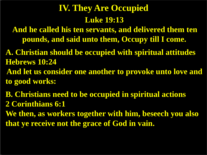# **Luke 19:13 IV. They Are Occupied**

**And he called his ten servants, and delivered them ten pounds, and said unto them, Occupy till I come.**

**A. Christian should be occupied with spiritual attitudes Hebrews 10:24 And let us consider one another to provoke unto love and** 

**to good works:**

**B. Christians need to be occupied in spiritual actions 2 Corinthians 6:1**

**We then, as workers together with him, beseech you also that ye receive not the grace of God in vain.**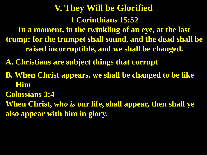**1 Corinthians 15:52 In a moment, in the twinkling of an eye, at the last trump: for the trumpet shall sound, and the dead shall be raised incorruptible, and we shall be changed. V. They Will be Glorified**

**A. Christians are subject things that corrupt**

- **B. When Christ appears, we shall be changed to be like Him**
- **Colossians 3:4**

**When Christ,** *who is* **our life, shall appear, then shall ye also appear with him in glory.**